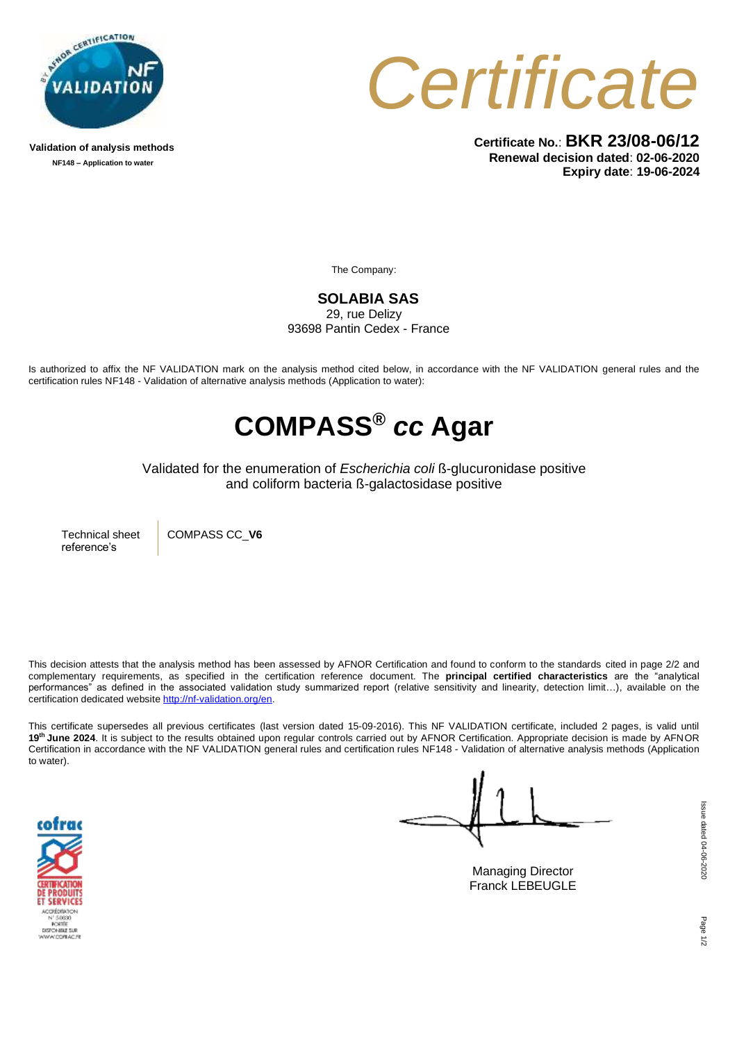

**Validation of analysis methods NF148 – Application to water**



**Certificate No.**: **BKR 23/08-06/12 Renewal decision dated**: **02-06-2020 Expiry date**: **19-06-2024**

The Company:

## **SOLABIA SAS** 29, rue Delizy 93698 Pantin Cedex - France

Is authorized to affix the NF VALIDATION mark on the analysis method cited below, in accordance with the NF VALIDATION general rules and the certification rules NF148 - Validation of alternative analysis methods (Application to water):

## **COMPASS®** *cc* **Agar**

Validated for the enumeration of *Escherichia coli* ß-glucuronidase positive and coliform bacteria ß-galactosidase positive

Technical sheet reference's

COMPASS CC\_**V6**

This decision attests that the analysis method has been assessed by AFNOR Certification and found to conform to the standards cited in page 2/2 and complementary requirements, as specified in the certification reference document. The **principal certified characteristics** are the "analytical performances" as defined in the associated validation study summarized report (relative sensitivity and linearity, detection limit…), available on the certification dedicated website [http://nf-validation.org/en.](http://nf-validation.org/en)

This certificate supersedes all previous certificates (last version dated 15-09-2016). This NF VALIDATION certificate, included 2 pages, is valid until **19th June 2024**. It is subject to the results obtained upon regular controls carried out by AFNOR Certification. Appropriate decision is made by AFNOR Certification in accordance with the NF VALIDATION general rules and certification rules NF148 - Validation of alternative analysis methods (Application to water).



Managing Director Franck LEBEUGLE

Page